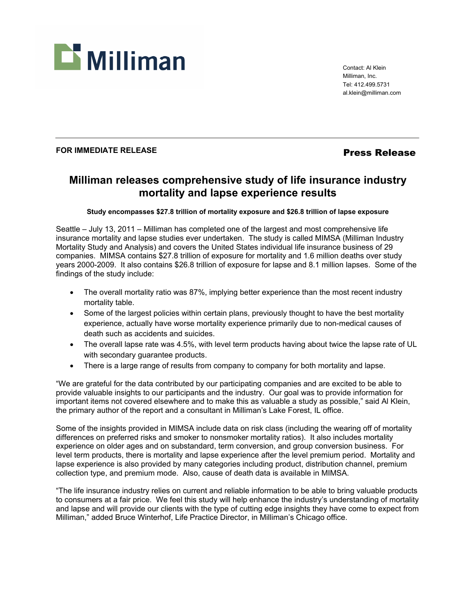

Contact: Al Klein Milliman, Inc. Tel: 412.499.5731 al.klein@milliman.com

## FOR IMMEDIATE RELEASE *Press Release*

# **Milliman releases comprehensive study of life insurance industry mortality and lapse experience results**

## **Study encompasses \$27.8 trillion of mortality exposure and \$26.8 trillion of lapse exposure**

Seattle – July 13, 2011 – Milliman has completed one of the largest and most comprehensive life insurance mortality and lapse studies ever undertaken. The study is called MIMSA (Milliman Industry Mortality Study and Analysis) and covers the United States individual life insurance business of 29 companies. MIMSA contains \$27.8 trillion of exposure for mortality and 1.6 million deaths over study years 2000-2009. It also contains \$26.8 trillion of exposure for lapse and 8.1 million lapses. Some of the findings of the study include:

- The overall mortality ratio was 87%, implying better experience than the most recent industry mortality table.
- Some of the largest policies within certain plans, previously thought to have the best mortality experience, actually have worse mortality experience primarily due to non-medical causes of death such as accidents and suicides.
- The overall lapse rate was 4.5%, with level term products having about twice the lapse rate of UL with secondary guarantee products.
- There is a large range of results from company to company for both mortality and lapse.

"We are grateful for the data contributed by our participating companies and are excited to be able to provide valuable insights to our participants and the industry. Our goal was to provide information for important items not covered elsewhere and to make this as valuable a study as possible," said Al Klein, the primary author of the report and a consultant in Milliman's Lake Forest, IL office.

Some of the insights provided in MIMSA include data on risk class (including the wearing off of mortality differences on preferred risks and smoker to nonsmoker mortality ratios). It also includes mortality experience on older ages and on substandard, term conversion, and group conversion business. For level term products, there is mortality and lapse experience after the level premium period. Mortality and lapse experience is also provided by many categories including product, distribution channel, premium collection type, and premium mode. Also, cause of death data is available in MIMSA.

"The life insurance industry relies on current and reliable information to be able to bring valuable products to consumers at a fair price. We feel this study will help enhance the industry's understanding of mortality and lapse and will provide our clients with the type of cutting edge insights they have come to expect from Milliman," added Bruce Winterhof, Life Practice Director, in Milliman's Chicago office.